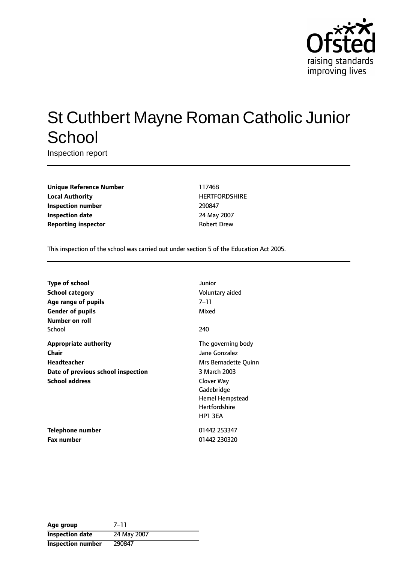

# St Cuthbert Mayne Roman Catholic Junior **School**

Inspection report

**Unique Reference Number** 117468 **Local Authority HERTFORDSHIRE Inspection number** 290847 **Inspection date** 24 May 2007 **Reporting inspector CONFIDENTIAL ROBERT DREW** 

This inspection of the school was carried out under section 5 of the Education Act 2005.

| <b>Type of school</b>              | Junior               |
|------------------------------------|----------------------|
| <b>School category</b>             | Voluntary aided      |
| Age range of pupils                | 7–11                 |
| <b>Gender of pupils</b>            | Mixed                |
| Number on roll                     |                      |
| School                             | 240                  |
| <b>Appropriate authority</b>       | The governing body   |
| Chair                              | Jane Gonzalez        |
| <b>Headteacher</b>                 | Mrs Bernadette Quinn |
| Date of previous school inspection | 3 March 2003         |
| <b>School address</b>              | Clover Way           |
|                                    | Gadebridge           |
|                                    | Hemel Hempstead      |
|                                    | <b>Hertfordshire</b> |
|                                    | HP1 3EA              |
| Telephone number                   | 01442 253347         |
| Fax number                         | 01442 230320         |

| Age group                | 7–11        |
|--------------------------|-------------|
| <b>Inspection date</b>   | 24 May 2007 |
| <b>Inspection number</b> | 290847      |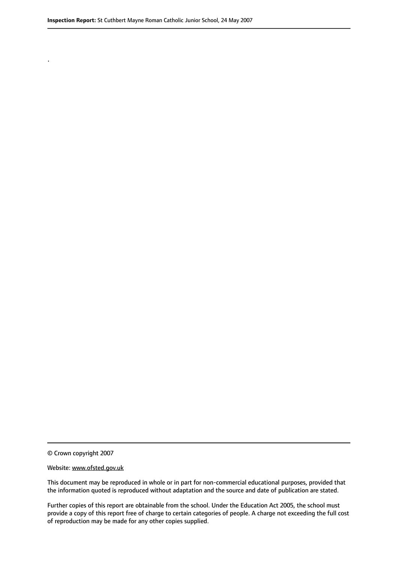.

© Crown copyright 2007

#### Website: www.ofsted.gov.uk

This document may be reproduced in whole or in part for non-commercial educational purposes, provided that the information quoted is reproduced without adaptation and the source and date of publication are stated.

Further copies of this report are obtainable from the school. Under the Education Act 2005, the school must provide a copy of this report free of charge to certain categories of people. A charge not exceeding the full cost of reproduction may be made for any other copies supplied.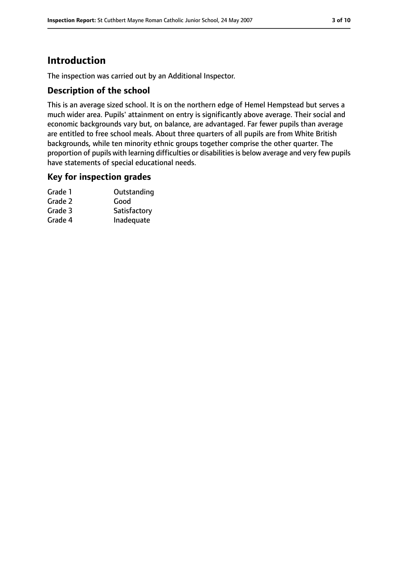# **Introduction**

The inspection was carried out by an Additional Inspector.

### **Description of the school**

This is an average sized school. It is on the northern edge of Hemel Hempstead but serves a much wider area. Pupils' attainment on entry is significantly above average. Their social and economic backgrounds vary but, on balance, are advantaged. Far fewer pupils than average are entitled to free school meals. About three quarters of all pupils are from White British backgrounds, while ten minority ethnic groups together comprise the other quarter. The proportion of pupils with learning difficulties or disabilities is below average and very few pupils have statements of special educational needs.

### **Key for inspection grades**

| Outstanding  |
|--------------|
| Good         |
| Satisfactory |
| Inadequate   |
|              |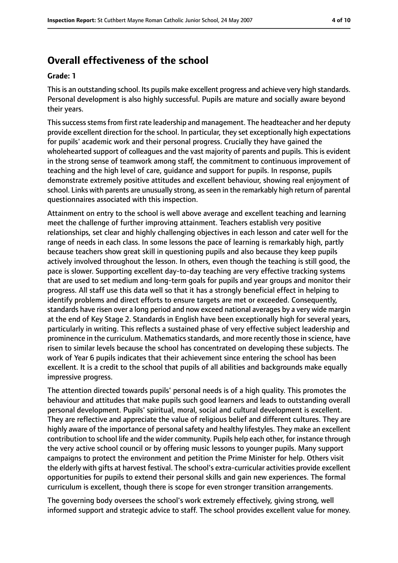# **Overall effectiveness of the school**

#### **Grade: 1**

This is an outstanding school. Its pupils make excellent progress and achieve very high standards. Personal development is also highly successful. Pupils are mature and socially aware beyond their years.

Thissuccessstemsfrom first rate leadership and management. The headteacher and her deputy provide excellent direction for the school. In particular, they set exceptionally high expectations for pupils' academic work and their personal progress. Crucially they have gained the wholehearted support of colleagues and the vast majority of parents and pupils. This is evident in the strong sense of teamwork among staff, the commitment to continuous improvement of teaching and the high level of care, guidance and support for pupils. In response, pupils demonstrate extremely positive attitudes and excellent behaviour, showing real enjoyment of school. Links with parents are unusually strong, as seen in the remarkably high return of parental questionnaires associated with this inspection.

Attainment on entry to the school is well above average and excellent teaching and learning meet the challenge of further improving attainment. Teachers establish very positive relationships, set clear and highly challenging objectives in each lesson and cater well for the range of needs in each class. In some lessons the pace of learning is remarkably high, partly because teachers show great skill in questioning pupils and also because they keep pupils actively involved throughout the lesson. In others, even though the teaching is still good, the pace is slower. Supporting excellent day-to-day teaching are very effective tracking systems that are used to set medium and long-term goals for pupils and year groups and monitor their progress. All staff use this data well so that it has a strongly beneficial effect in helping to identify problems and direct efforts to ensure targets are met or exceeded. Consequently, standards have risen over a long period and now exceed national averages by a very wide margin at the end of Key Stage 2. Standards in English have been exceptionally high for several years, particularly in writing. This reflects a sustained phase of very effective subject leadership and prominence in the curriculum. Mathematics standards, and more recently those in science, have risen to similar levels because the school has concentrated on developing these subjects. The work of Year 6 pupils indicates that their achievement since entering the school has been excellent. It is a credit to the school that pupils of all abilities and backgrounds make equally impressive progress.

The attention directed towards pupils' personal needs is of a high quality. This promotes the behaviour and attitudes that make pupils such good learners and leads to outstanding overall personal development. Pupils' spiritual, moral, social and cultural development is excellent. They are reflective and appreciate the value of religious belief and different cultures. They are highly aware of the importance of personal safety and healthy lifestyles. They make an excellent contribution to school life and the wider community. Pupils help each other, for instance through the very active school council or by offering music lessons to younger pupils. Many support campaigns to protect the environment and petition the Prime Minister for help. Others visit the elderly with gifts at harvest festival. The school's extra-curricular activities provide excellent opportunities for pupils to extend their personal skills and gain new experiences. The formal curriculum is excellent, though there is scope for even stronger transition arrangements.

The governing body oversees the school's work extremely effectively, giving strong, well informed support and strategic advice to staff. The school provides excellent value for money.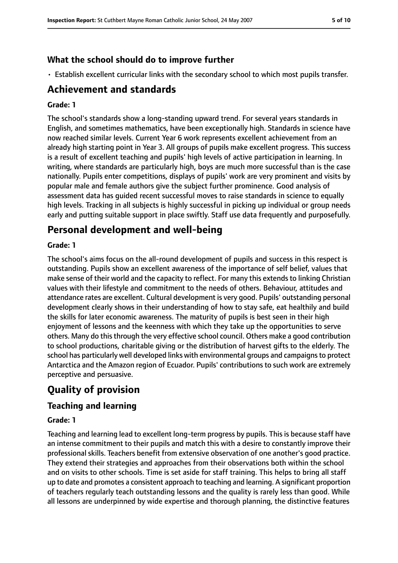## **What the school should do to improve further**

• Establish excellent curricular links with the secondary school to which most pupils transfer.

# **Achievement and standards**

#### **Grade: 1**

The school's standards show a long-standing upward trend. For several years standards in English, and sometimes mathematics, have been exceptionally high. Standards in science have now reached similar levels. Current Year 6 work represents excellent achievement from an already high starting point in Year 3. All groups of pupils make excellent progress. This success is a result of excellent teaching and pupils' high levels of active participation in learning. In writing, where standards are particularly high, boys are much more successful than is the case nationally. Pupils enter competitions, displays of pupils' work are very prominent and visits by popular male and female authors give the subject further prominence. Good analysis of assessment data has guided recent successful moves to raise standards in science to equally high levels. Tracking in all subjects is highly successful in picking up individual or group needs early and putting suitable support in place swiftly. Staff use data frequently and purposefully.

# **Personal development and well-being**

#### **Grade: 1**

The school's aims focus on the all-round development of pupils and success in this respect is outstanding. Pupils show an excellent awareness of the importance of self belief, values that make sense of their world and the capacity to reflect. For many this extends to linking Christian values with their lifestyle and commitment to the needs of others. Behaviour, attitudes and attendance rates are excellent. Cultural development is very good. Pupils' outstanding personal development clearly shows in their understanding of how to stay safe, eat healthily and build the skills for later economic awareness. The maturity of pupils is best seen in their high enjoyment of lessons and the keenness with which they take up the opportunities to serve others. Many do this through the very effective school council. Others make a good contribution to school productions, charitable giving or the distribution of harvest gifts to the elderly. The school has particularly well developed links with environmental groups and campaignsto protect Antarctica and the Amazon region of Ecuador. Pupils' contributions to such work are extremely perceptive and persuasive.

# **Quality of provision**

### **Teaching and learning**

### **Grade: 1**

Teaching and learning lead to excellent long-term progress by pupils. This is because staff have an intense commitment to their pupils and match this with a desire to constantly improve their professional skills. Teachers benefit from extensive observation of one another's good practice. They extend their strategies and approaches from their observations both within the school and on visits to other schools. Time is set aside for staff training. This helps to bring all staff up to date and promotes a consistent approach to teaching and learning. A significant proportion of teachers regularly teach outstanding lessons and the quality is rarely less than good. While all lessons are underpinned by wide expertise and thorough planning, the distinctive features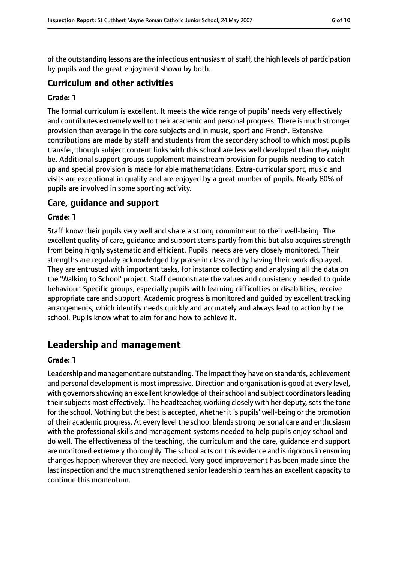of the outstanding lessons are the infectious enthusiasm of staff, the high levels of participation by pupils and the great enjoyment shown by both.

### **Curriculum and other activities**

#### **Grade: 1**

The formal curriculum is excellent. It meets the wide range of pupils' needs very effectively and contributes extremely well to their academic and personal progress. There is much stronger provision than average in the core subjects and in music, sport and French. Extensive contributions are made by staff and students from the secondary school to which most pupils transfer, though subject content links with this school are less well developed than they might be. Additional support groups supplement mainstream provision for pupils needing to catch up and special provision is made for able mathematicians. Extra-curricular sport, music and visits are exceptional in quality and are enjoyed by a great number of pupils. Nearly 80% of pupils are involved in some sporting activity.

#### **Care, guidance and support**

#### **Grade: 1**

Staff know their pupils very well and share a strong commitment to their well-being. The excellent quality of care, guidance and support stems partly from this but also acquires strength from being highly systematic and efficient. Pupils' needs are very closely monitored. Their strengths are regularly acknowledged by praise in class and by having their work displayed. They are entrusted with important tasks, for instance collecting and analysing all the data on the 'Walking to School' project. Staff demonstrate the values and consistency needed to guide behaviour. Specific groups, especially pupils with learning difficulties or disabilities, receive appropriate care and support. Academic progressis monitored and guided by excellent tracking arrangements, which identify needs quickly and accurately and always lead to action by the school. Pupils know what to aim for and how to achieve it.

# **Leadership and management**

#### **Grade: 1**

Leadership and management are outstanding. The impact they have on standards, achievement and personal development is most impressive. Direction and organisation is good at every level, with governors showing an excellent knowledge of their school and subject coordinators leading their subjects most effectively. The headteacher, working closely with her deputy, sets the tone for the school. Nothing but the best is accepted, whether it is pupils' well-being or the promotion of their academic progress. At every level the school blends strong personal care and enthusiasm with the professional skills and management systems needed to help pupils enjoy school and do well. The effectiveness of the teaching, the curriculum and the care, guidance and support are monitored extremely thoroughly. The school acts on this evidence and is rigorous in ensuring changes happen wherever they are needed. Very good improvement has been made since the last inspection and the much strengthened senior leadership team has an excellent capacity to continue this momentum.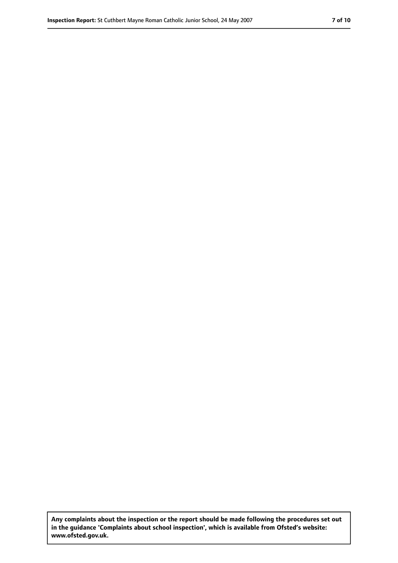**Any complaints about the inspection or the report should be made following the procedures set out in the guidance 'Complaints about school inspection', which is available from Ofsted's website: www.ofsted.gov.uk.**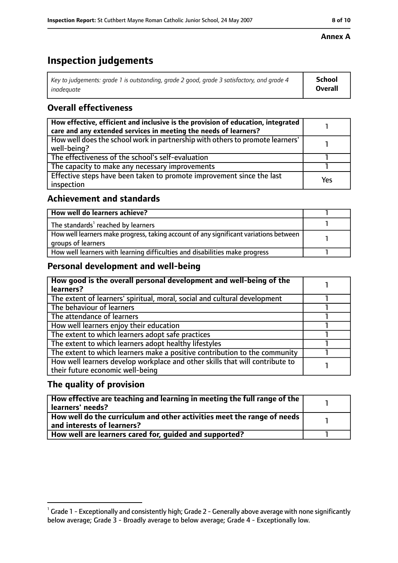# **Inspection judgements**

| Key to judgements: grade 1 is outstanding, grade 2 good, grade 3 satisfactory, and grade 4 | <b>School</b>  |
|--------------------------------------------------------------------------------------------|----------------|
| inadeauate                                                                                 | <b>Overall</b> |

# **Overall effectiveness**

| How effective, efficient and inclusive is the provision of education, integrated<br>care and any extended services in meeting the needs of learners? |     |
|------------------------------------------------------------------------------------------------------------------------------------------------------|-----|
| How well does the school work in partnership with others to promote learners'<br>well-being?                                                         |     |
| The effectiveness of the school's self-evaluation                                                                                                    |     |
| The capacity to make any necessary improvements                                                                                                      |     |
| Effective steps have been taken to promote improvement since the last<br>inspection                                                                  | Yes |

# **Achievement and standards**

| How well do learners achieve?                                                                               |  |
|-------------------------------------------------------------------------------------------------------------|--|
| The standards <sup>1</sup> reached by learners                                                              |  |
| How well learners make progress, taking account of any significant variations between<br>groups of learners |  |
| How well learners with learning difficulties and disabilities make progress                                 |  |

## **Personal development and well-being**

| How good is the overall personal development and well-being of the<br>learners?                                  |  |
|------------------------------------------------------------------------------------------------------------------|--|
| The extent of learners' spiritual, moral, social and cultural development                                        |  |
| The behaviour of learners                                                                                        |  |
| The attendance of learners                                                                                       |  |
| How well learners enjoy their education                                                                          |  |
| The extent to which learners adopt safe practices                                                                |  |
| The extent to which learners adopt healthy lifestyles                                                            |  |
| The extent to which learners make a positive contribution to the community                                       |  |
| How well learners develop workplace and other skills that will contribute to<br>their future economic well-being |  |

# **The quality of provision**

| How effective are teaching and learning in meeting the full range of the<br>learners' needs?          |  |
|-------------------------------------------------------------------------------------------------------|--|
| How well do the curriculum and other activities meet the range of needs<br>and interests of learners? |  |
| How well are learners cared for, quided and supported?                                                |  |

### **Annex A**

 $^1$  Grade 1 - Exceptionally and consistently high; Grade 2 - Generally above average with none significantly below average; Grade 3 - Broadly average to below average; Grade 4 - Exceptionally low.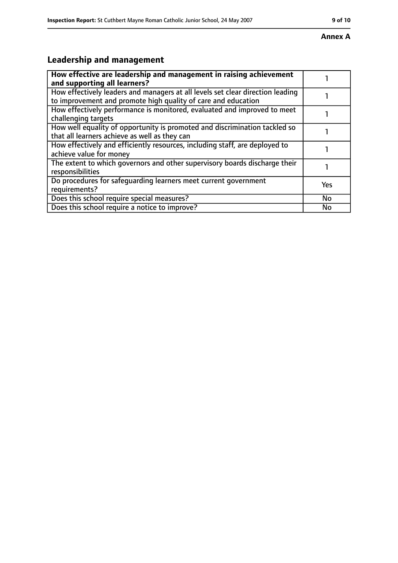#### **Annex A**

# **Leadership and management**

| How effective are leadership and management in raising achievement<br>and supporting all learners?                                              |           |
|-------------------------------------------------------------------------------------------------------------------------------------------------|-----------|
| How effectively leaders and managers at all levels set clear direction leading<br>to improvement and promote high quality of care and education |           |
| How effectively performance is monitored, evaluated and improved to meet<br>challenging targets                                                 |           |
| How well equality of opportunity is promoted and discrimination tackled so<br>that all learners achieve as well as they can                     |           |
| How effectively and efficiently resources, including staff, are deployed to<br>achieve value for money                                          |           |
| The extent to which governors and other supervisory boards discharge their<br>responsibilities                                                  |           |
| Do procedures for safeguarding learners meet current government<br>requirements?                                                                | Yes       |
| Does this school require special measures?                                                                                                      | <b>No</b> |
| Does this school require a notice to improve?                                                                                                   | No        |